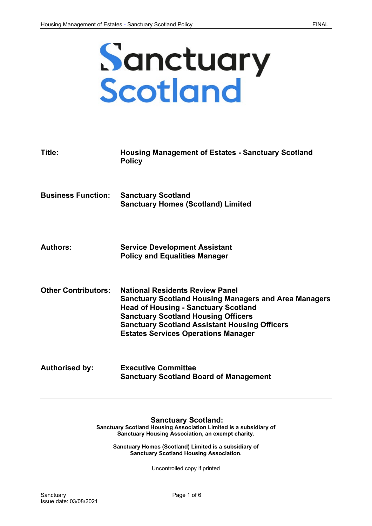# **Sanctuary<br>Scotland**

| Title:                     | <b>Housing Management of Estates - Sanctuary Scotland</b><br><b>Policy</b>                                                                                                                                                                                                                                |
|----------------------------|-----------------------------------------------------------------------------------------------------------------------------------------------------------------------------------------------------------------------------------------------------------------------------------------------------------|
| <b>Business Function:</b>  | <b>Sanctuary Scotland</b><br><b>Sanctuary Homes (Scotland) Limited</b>                                                                                                                                                                                                                                    |
| <b>Authors:</b>            | <b>Service Development Assistant</b><br><b>Policy and Equalities Manager</b>                                                                                                                                                                                                                              |
| <b>Other Contributors:</b> | <b>National Residents Review Panel</b><br><b>Sanctuary Scotland Housing Managers and Area Managers</b><br><b>Head of Housing - Sanctuary Scotland</b><br><b>Sanctuary Scotland Housing Officers</b><br><b>Sanctuary Scotland Assistant Housing Officers</b><br><b>Estates Services Operations Manager</b> |
| <b>Authorised by:</b>      | <b>Executive Committee</b><br><b>Sanctuary Scotland Board of Management</b>                                                                                                                                                                                                                               |

# **Sanctuary Scotland:**

**Sanctuary Scotland Housing Association Limited is a subsidiary of Sanctuary Housing Association, an exempt charity.**

**Sanctuary Homes (Scotland) Limited is a subsidiary of Sanctuary Scotland Housing Association.**

Uncontrolled copy if printed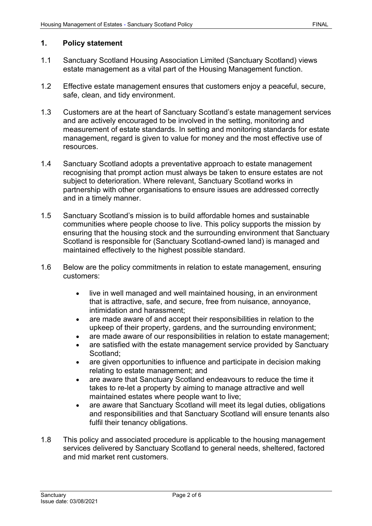### **1. Policy statement**

- 1.1 Sanctuary Scotland Housing Association Limited (Sanctuary Scotland) views estate management as a vital part of the Housing Management function.
- 1.2 Effective estate management ensures that customers enjoy a peaceful, secure, safe, clean, and tidy environment.
- 1.3 Customers are at the heart of Sanctuary Scotland's estate management services and are actively encouraged to be involved in the setting, monitoring and measurement of estate standards. In setting and monitoring standards for estate management, regard is given to value for money and the most effective use of resources.
- 1.4 Sanctuary Scotland adopts a preventative approach to estate management recognising that prompt action must always be taken to ensure estates are not subject to deterioration. Where relevant, Sanctuary Scotland works in partnership with other organisations to ensure issues are addressed correctly and in a timely manner.
- 1.5 Sanctuary Scotland's mission is to build affordable homes and sustainable communities where people choose to live. This policy supports the mission by ensuring that the housing stock and the surrounding environment that Sanctuary Scotland is responsible for (Sanctuary Scotland-owned land) is managed and maintained effectively to the highest possible standard.
- 1.6 Below are the policy commitments in relation to estate management, ensuring customers:
	- live in well managed and well maintained housing, in an environment that is attractive, safe, and secure, free from nuisance, annoyance, intimidation and harassment;
	- are made aware of and accept their responsibilities in relation to the upkeep of their property, gardens, and the surrounding environment;
	- are made aware of our responsibilities in relation to estate management;
	- are satisfied with the estate management service provided by Sanctuary Scotland;
	- are given opportunities to influence and participate in decision making relating to estate management; and
	- are aware that Sanctuary Scotland endeavours to reduce the time it takes to re-let a property by aiming to manage attractive and well maintained estates where people want to live;
	- are aware that Sanctuary Scotland will meet its legal duties, obligations and responsibilities and that Sanctuary Scotland will ensure tenants also fulfil their tenancy obligations.
- 1.8 This policy and associated procedure is applicable to the housing management services delivered by Sanctuary Scotland to general needs, sheltered, factored and mid market rent customers.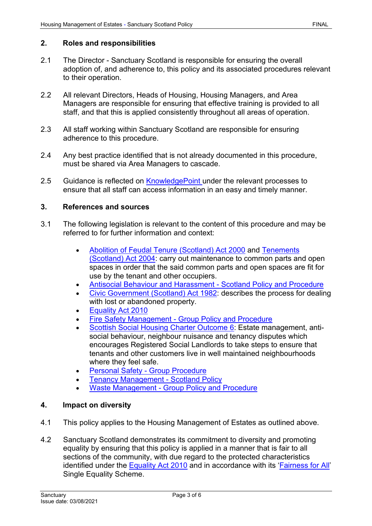# **2. Roles and responsibilities**

- 2.1 The Director Sanctuary Scotland is responsible for ensuring the overall adoption of, and adherence to, this policy and its associated procedures relevant to their operation.
- 2.2 All relevant Directors, Heads of Housing, Housing Managers, and Area Managers are responsible for ensuring that effective training is provided to all staff, and that this is applied consistently throughout all areas of operation.
- 2.3 All staff working within Sanctuary Scotland are responsible for ensuring adherence to this procedure.
- 2.4 Any best practice identified that is not already documented in this procedure, must be shared via Area Managers to cascade.
- 2.5 Guidance is reflected on [KnowledgePoint](https://knowledgepoint/housing/Pages/default.aspx) under the relevant processes to ensure that all staff can access information in an easy and timely manner.

### **3. References and sources**

- 3.1 The following legislation is relevant to the content of this procedure and may be referred to for further information and context:
	- [Abolition of Feudal Tenure \(Scotland\) Act 2000](http://www.legislation.gov.uk/asp/2000/5/contents) and [Tenements](http://www.legislation.gov.uk/asp/2004/11/contents)  [\(Scotland\) Act 2004:](http://www.legislation.gov.uk/asp/2004/11/contents) carry out maintenance to common parts and open spaces in order that the said common parts and open spaces are fit for use by the tenant and other occupiers.
	- [Antisocial Behaviour and Harassment -](https://solis/PolicyManagement/policy/Policies/Forms/Policy%20Document%20Set/docsethomepage.aspx?ID=4360&FolderCTID=0x0120D52000DE99EA054D4DF944BE591D81E49729D0008C670BDB86BED740B0B89E295CD8357C&List=a03723e1-d48b-4958-9669-9b86a90ef8b0&RootFolder=%2FPolicyManagement%2Fpolicy%2FPolicies%2FAntisocial%20Behaviour%20and%20Harassment%20%2D%20Scotland&RecSrc=%2FPolicyManagement%2Fpolicy%2FPolicies%2FAntisocial%20Behaviour%20and%20Harassment%20%2D%20Scotland) Scotland Policy and Procedure
	- [Civic Government \(Scotland\) Act 1982:](http://www.legislation.gov.uk/ukpga/1982/45/contents) describes the process for dealing with lost or abandoned property.
	- [Equality Act 2010](http://www.legislation.gov.uk/ukpga/2010/15/contents)
	- Fire Safety Management [Group Policy and Procedure](https://solis/PolicyManagement/policy/Policies/Forms/Policy%20Document%20Set/docsethomepage.aspx?ID=3995&FolderCTID=0x0120D52000DE99EA054D4DF944BE591D81E49729D0008C670BDB86BED740B0B89E295CD8357C&List=a03723e1-d48b-4958-9669-9b86a90ef8b0&RootFolder=%2FPolicyManagement%2Fpolicy%2FPolicies%2FFire%20Safety%20Management%20%2D%20Group&RecSrc=%2FPolicyManagement%2Fpolicy%2FPolicies%2FFire%20Safety%20Management%20%2D%20Group)
	- [Scottish Social Housing Charter](https://www.gov.scot/publications/scottish-social-housing-charter-april-2017/) Outcome 6: Estate management, antisocial behaviour, neighbour nuisance and tenancy disputes which encourages Registered Social Landlords to take steps to ensure that tenants and other customers live in well maintained neighbourhoods where they feel safe.
	- [Personal Safety -](https://solis/PolicyManagement/policy/Policies/Forms/Policy%20Document%20Set/docsethomepage.aspx?ID=4861&FolderCTID=0x0120D52000DE99EA054D4DF944BE591D81E49729D0008C670BDB86BED740B0B89E295CD8357C&List=a03723e1-d48b-4958-9669-9b86a90ef8b0&RootFolder=%2FPolicyManagement%2Fpolicy%2FPolicies%2FPersonal%20Safety%20%2D%20Group&RecSrc=%2FPolicyManagement%2Fpolicy%2FPolicies%2FPersonal%20Safety%20%2D%20Group) Group Procedure
	- [Tenancy Management -](https://solis/PolicyManagement/policy/Policies/Forms/Policy%20Document%20Set/docsethomepage.aspx?ID=7055&FolderCTID=0x0120D52000DE99EA054D4DF944BE591D81E49729D0008C670BDB86BED740B0B89E295CD8357C&List=a03723e1-d48b-4958-9669-9b86a90ef8b0&RootFolder=%2FPolicyManagement%2Fpolicy%2FPolicies%2FTenancy%20Management%20%2D%20Scotland&RecSrc=%2FPolicyManagement%2Fpolicy%2FPolicies%2FTenancy%20Management%20%2D%20Scotland) Scotland Policy
	- Waste Management [Group Policy and Procedure](https://solis/PolicyManagement/policy/Policies/Forms/Policy%20Document%20Set/docsethomepage.aspx?ID=4302&FolderCTID=0x0120D52000DE99EA054D4DF944BE591D81E49729D0008C670BDB86BED740B0B89E295CD8357C&List=a03723e1-d48b-4958-9669-9b86a90ef8b0&RootFolder=%2FPolicyManagement%2Fpolicy%2FPolicies%2FWaste%20Management%20%2D%20Group&RecSrc=%2FPolicyManagement%2Fpolicy%2FPolicies%2FWaste%20Management%20%2D%20Group)

# **4. Impact on diversity**

- 4.1 This policy applies to the Housing Management of Estates as outlined above.
- 4.2 Sanctuary Scotland demonstrates its commitment to diversity and promoting equality by ensuring that this policy is applied in a manner that is fair to all sections of the community, with due regard to the protected characteristics identified under the [Equality Act 2010](http://www.legislation.gov.uk/ukpga/2010/15/contents) and in accordance with its ['Fairness for All'](https://solis/Diversity/Pages/Fairnessforall.aspx) Single Equality Scheme.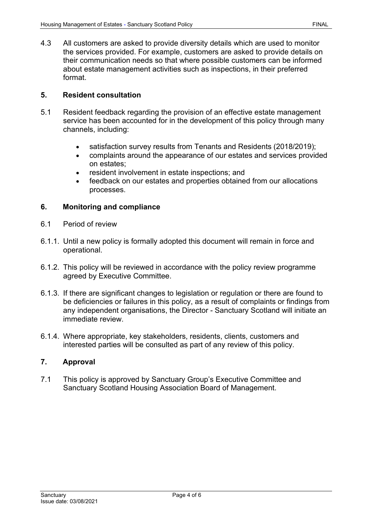4.3 All customers are asked to provide diversity details which are used to monitor the services provided. For example, customers are asked to provide details on their communication needs so that where possible customers can be informed about estate management activities such as inspections, in their preferred format.

# **5. Resident consultation**

- 5.1 Resident feedback regarding the provision of an effective estate management service has been accounted for in the development of this policy through many channels, including:
	- satisfaction survey results from Tenants and Residents (2018/2019);
	- complaints around the appearance of our estates and services provided on estates;
	- resident involvement in estate inspections; and
	- feedback on our estates and properties obtained from our allocations processes.

### **6. Monitoring and compliance**

- 6.1 Period of review
- 6.1.1. Until a new policy is formally adopted this document will remain in force and operational.
- 6.1.2. This policy will be reviewed in accordance with the policy review programme agreed by Executive Committee.
- 6.1.3. If there are significant changes to legislation or regulation or there are found to be deficiencies or failures in this policy, as a result of complaints or findings from any independent organisations, the Director - Sanctuary Scotland will initiate an immediate review.
- 6.1.4. Where appropriate, key stakeholders, residents, clients, customers and interested parties will be consulted as part of any review of this policy.

# **7. Approval**

7.1 This policy is approved by Sanctuary Group's Executive Committee and Sanctuary Scotland Housing Association Board of Management.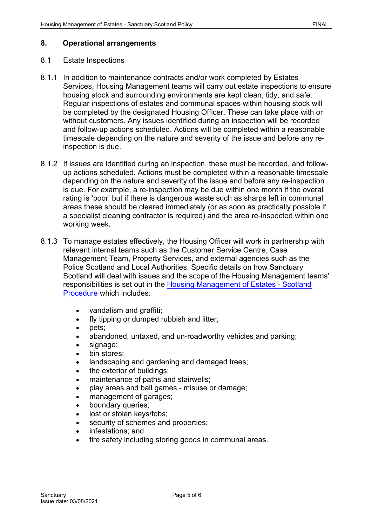#### **8. Operational arrangements**

#### 8.1 Estate Inspections

- 8.1.1 In addition to maintenance contracts and/or work completed by Estates Services, Housing Management teams will carry out estate inspections to ensure housing stock and surrounding environments are kept clean, tidy, and safe. Regular inspections of estates and communal spaces within housing stock will be completed by the designated Housing Officer. These can take place with or without customers. Any issues identified during an inspection will be recorded and follow-up actions scheduled. Actions will be completed within a reasonable timescale depending on the nature and severity of the issue and before any reinspection is due.
- 8.1.2 If issues are identified during an inspection, these must be recorded, and followup actions scheduled. Actions must be completed within a reasonable timescale depending on the nature and severity of the issue and before any re-inspection is due. For example, a re-inspection may be due within one month if the overall rating is 'poor' but if there is dangerous waste such as sharps left in communal areas these should be cleared immediately (or as soon as practically possible if a specialist cleaning contractor is required) and the area re-inspected within one working week.
- 8.1.3 To manage estates effectively, the Housing Officer will work in partnership with relevant internal teams such as the Customer Service Centre, Case Management Team, Property Services, and external agencies such as the Police Scotland and Local Authorities. Specific details on how Sanctuary Scotland will deal with issues and the scope of the Housing Management teams' responsibilities is set out in the [Housing Management of Estates -](https://solis/PolicyManagement/policy/Policies/Housing%20Management%20of%20Estates%20-%20Scotland) Scotland [Procedure](https://solis/PolicyManagement/policy/Policies/Housing%20Management%20of%20Estates%20-%20Scotland) which includes:
	- vandalism and graffiti;
	- fly tipping or dumped rubbish and litter;
	- pets;
	- abandoned, untaxed, and un-roadworthy vehicles and parking;
	- signage;
	- bin stores:
	- landscaping and gardening and damaged trees;
	- the exterior of buildings;
	- maintenance of paths and stairwells;
	- play areas and ball games misuse or damage;
	- management of garages;
	- boundary queries;
	- lost or stolen keys/fobs;
	- security of schemes and properties;
	- infestations; and
	- fire safety including storing goods in communal areas.